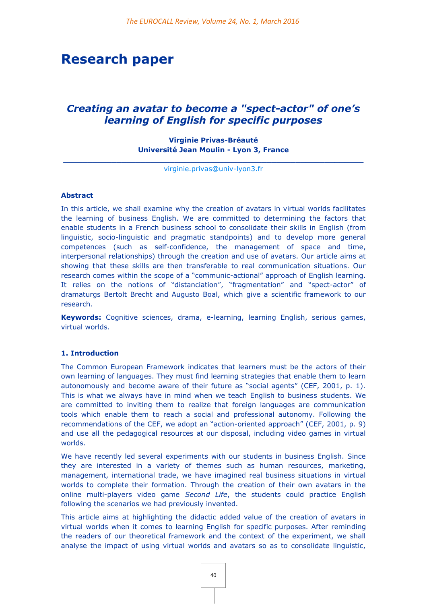# **Research paper**

# *Creating an avatar to become a "spect-actor" of one's learning of English for specific purposes*

# **Virginie Privas-Bréauté Université Jean Moulin - Lyon 3, France**

**\_\_\_\_\_\_\_\_\_\_\_\_\_\_\_\_\_\_\_\_\_\_\_\_\_\_\_\_\_\_\_\_\_\_\_\_\_\_\_\_\_\_\_\_\_\_\_\_\_\_\_\_\_\_\_\_\_\_\_\_\_\_** [virginie.privas@univ-lyon3.fr](mailto:virginie.privas@univ-lyon3.fr)

# **Abstract**

In this article, we shall examine why the creation of avatars in virtual worlds facilitates the learning of business English. We are committed to determining the factors that enable students in a French business school to consolidate their skills in English (from linguistic, socio-linguistic and pragmatic standpoints) and to develop more general competences (such as self-confidence, the management of space and time, interpersonal relationships) through the creation and use of avatars. Our article aims at showing that these skills are then transferable to real communication situations. Our research comes within the scope of a "communic-actional" approach of English learning. It relies on the notions of "distanciation", "fragmentation" and "spect-actor" of dramaturgs Bertolt Brecht and Augusto Boal, which give a scientific framework to our research.

**Keywords:** Cognitive sciences, drama, e-learning, learning English, serious games, virtual worlds.

#### **1. Introduction**

The Common European Framework indicates that learners must be the actors of their own learning of languages. They must find learning strategies that enable them to learn autonomously and become aware of their future as "social agents" (CEF, 2001, p. 1). This is what we always have in mind when we teach English to business students. We are committed to inviting them to realize that foreign languages are communication tools which enable them to reach a social and professional autonomy. Following the recommendations of the CEF, we adopt an "action-oriented approach" (CEF, 2001, p. 9) and use all the pedagogical resources at our disposal, including video games in virtual worlds.

We have recently led several experiments with our students in business English. Since they are interested in a variety of themes such as human resources, marketing, management, international trade, we have imagined real business situations in virtual worlds to complete their formation. Through the creation of their own avatars in the online multi-players video game *Second Life*, the students could practice English following the scenarios we had previously invented.

This article aims at highlighting the didactic added value of the creation of avatars in virtual worlds when it comes to learning English for specific purposes. After reminding the readers of our theoretical framework and the context of the experiment, we shall analyse the impact of using virtual worlds and avatars so as to consolidate linguistic,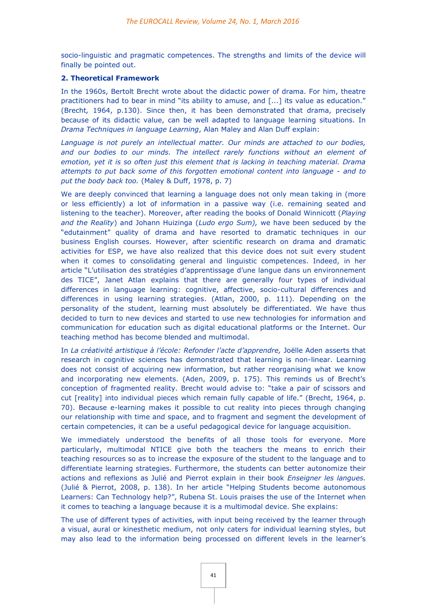socio-linguistic and pragmatic competences. The strengths and limits of the device will finally be pointed out.

# **2. Theoretical Framework**

In the 1960s, Bertolt Brecht wrote about the didactic power of drama. For him, theatre practitioners had to bear in mind "its ability to amuse, and [...] its value as education." (Brecht*,* 1964, p.130). Since then, it has been demonstrated that drama, precisely because of its didactic value, can be well adapted to language learning situations. In *Drama Techniques in language Learning*, Alan Maley and Alan Duff explain:

*Language is not purely an intellectual matter. Our minds are attached to our bodies, and our bodies to our minds. The intellect rarely functions without an element of emotion, yet it is so often just this element that is lacking in teaching material. Drama attempts to put back some of this forgotten emotional content into language - and to put the body back too.* (Maley & Duff, 1978, p. 7)

We are deeply convinced that learning a language does not only mean taking in (more or less efficiently) a lot of information in a passive way (i.e. remaining seated and listening to the teacher). Moreover, after reading the books of Donald Winnicott (*Playing and the Reality*) and Johann Huizinga (*Ludo ergo Sum),* we have been seduced by the "edutainment" quality of drama and have resorted to dramatic techniques in our business English courses. However, after scientific research on drama and dramatic activities for ESP, we have also realized that this device does not suit every student when it comes to consolidating general and linguistic competences. Indeed, in her article "L'utilisation des stratégies d'apprentissage d'une langue dans un environnement des TICE", Janet Atlan explains that there are generally four types of individual differences in language learning: cognitive, affective, socio-cultural differences and differences in using learning strategies. (Atlan, 2000, p. 111). Depending on the personality of the student, learning must absolutely be differentiated. We have thus decided to turn to new devices and started to use new technologies for information and communication for education such as digital educational platforms or the Internet. Our teaching method has become blended and multimodal.

In *La créativité artistique à l'école: Refonder l'acte d'apprendre,* Joëlle Aden asserts that research in cognitive sciences has demonstrated that learning is non-linear. Learning does not consist of acquiring new information, but rather reorganising what we know and incorporating new elements. (Aden, 2009, p. 175). This reminds us of Brecht's conception of fragmented reality. Brecht would advise to: "take a pair of scissors and cut [reality] into individual pieces which remain fully capable of life." (Brecht, 1964, p. 70). Because e-learning makes it possible to cut reality into pieces through changing our relationship with time and space, and to fragment and segment the development of certain competencies, it can be a useful pedagogical device for language acquisition.

We immediately understood the benefits of all those tools for everyone. More particularly, multimodal NTICE give both the teachers the means to enrich their teaching resources so as to increase the exposure of the student to the language and to differentiate learning strategies. Furthermore, the students can better autonomize their actions and reflexions as Julié and Pierrot explain in their book *Enseigner les langues.* (Julié & Pierrot, 2008, p. 138). In her article "Helping Students become autonomous Learners: Can Technology help?", Rubena St. Louis praises the use of the Internet when it comes to teaching a language because it is a multimodal device. She explains:

The use of different types of activities, with input being received by the learner through a visual, aural or kinesthetic medium, not only caters for individual learning styles, but may also lead to the information being processed on different levels in the learner's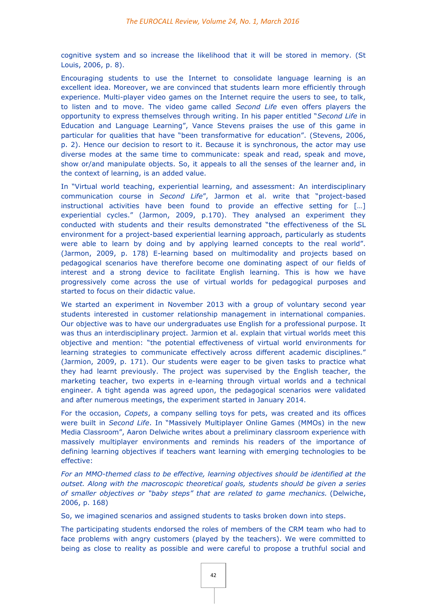cognitive system and so increase the likelihood that it will be stored in memory. (St Louis, 2006, p. 8).

Encouraging students to use the Internet to consolidate language learning is an excellent idea. Moreover, we are convinced that students learn more efficiently through experience. Multi-player video games on the Internet require the users to see, to talk, to listen and to move. The video game called *Second Life* even offers players the opportunity to express themselves through writing. In his paper entitled "*Second Life* in Education and Language Learning", Vance Stevens praises the use of this game in particular for qualities that have "been transformative for education". (Stevens, 2006, p. 2). Hence our decision to resort to it. Because it is synchronous, the actor may use diverse modes at the same time to communicate: speak and read, speak and move, show or/and manipulate objects. So, it appeals to all the senses of the learner and, in the context of learning, is an added value.

In "Virtual world teaching, experiential learning, and assessment: An interdisciplinary communication course in *Second Life*", Jarmon et al. write that "project-based instructional activities have been found to provide an effective setting for […] experiential cycles." (Jarmon, 2009, p.170). They analysed an experiment they conducted with students and their results demonstrated "the effectiveness of the SL environment for a project-based experiential learning approach, particularly as students were able to learn by doing and by applying learned concepts to the real world". (Jarmon, 2009, p. 178) E-learning based on multimodality and projects based on pedagogical scenarios have therefore become one dominating aspect of our fields of interest and a strong device to facilitate English learning. This is how we have progressively come across the use of virtual worlds for pedagogical purposes and started to focus on their didactic value.

We started an experiment in November 2013 with a group of voluntary second year students interested in customer relationship management in international companies. Our objective was to have our undergraduates use English for a professional purpose. It was thus an interdisciplinary project. Jarmion et al. explain that virtual worlds meet this objective and mention: "the potential effectiveness of virtual world environments for learning strategies to communicate effectively across different academic disciplines." (Jarmion, 2009, p. 171). Our students were eager to be given tasks to practice what they had learnt previously. The project was supervised by the English teacher, the marketing teacher, two experts in e-learning through virtual worlds and a technical engineer. A tight agenda was agreed upon, the pedagogical scenarios were validated and after numerous meetings, the experiment started in January 2014.

For the occasion, *Copets*, a company selling toys for pets, was created and its offices were built in *Second Life*. In "Massively Multiplayer Online Games (MMOs) in the new Media Classroom", Aaron Delwiche writes about a preliminary classroom experience with massively multiplayer environments and reminds his readers of the importance of defining learning objectives if teachers want learning with emerging technologies to be effective:

*For an MMO-themed class to be effective, learning objectives should be identified at the outset. Along with the macroscopic theoretical goals, students should be given a series of smaller objectives or "baby steps" that are related to game mechanics.* (Delwiche, 2006, p. 168)

So, we imagined scenarios and assigned students to tasks broken down into steps.

The participating students endorsed the roles of members of the CRM team who had to face problems with angry customers (played by the teachers). We were committed to being as close to reality as possible and were careful to propose a truthful social and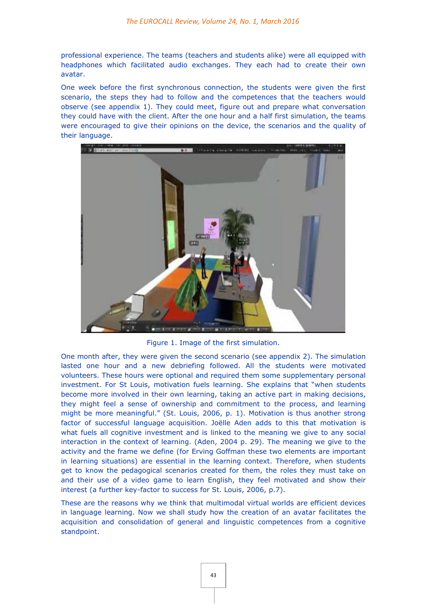professional experience. The teams (teachers and students alike) were all equipped with headphones which facilitated audio exchanges. They each had to create their own avatar.

One week before the first synchronous connection, the students were given the first scenario, the steps they had to follow and the competences that the teachers would observe (see appendix 1). They could meet, figure out and prepare what conversation they could have with the client. After the one hour and a half first simulation, the teams were encouraged to give their opinions on the device, the scenarios and the quality of their language.



Figure 1. Image of the first simulation.

One month after, they were given the second scenario (see appendix 2). The simulation lasted one hour and a new debriefing followed. All the students were motivated volunteers. These hours were optional and required them some supplementary personal investment. For St Louis, motivation fuels learning. She explains that "when students become more involved in their own learning, taking an active part in making decisions, they might feel a sense of ownership and commitment to the process, and learning might be more meaningful." (St. Louis, 2006, p. 1). Motivation is thus another strong factor of successful language acquisition. Joëlle Aden adds to this that motivation is what fuels all cognitive investment and is linked to the meaning we give to any social interaction in the context of learning. (Aden, 2004 p. 29). The meaning we give to the activity and the frame we define (for Erving Goffman these two elements are important in learning situations) are essential in the learning context. Therefore, when students get to know the pedagogical scenarios created for them, the roles they must take on and their use of a video game to learn English, they feel motivated and show their interest (a further key-factor to success for St. Louis, 2006, p.7).

These are the reasons why we think that multimodal virtual worlds are efficient devices in language learning. Now we shall study how the creation of an avatar facilitates the acquisition and consolidation of general and linguistic competences from a cognitive standpoint.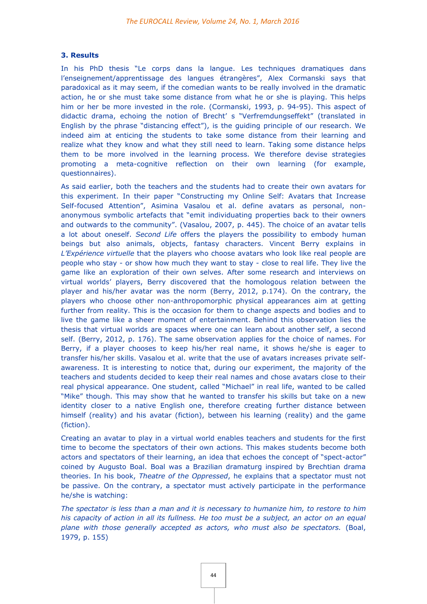# **3. Results**

In his PhD thesis "Le corps dans la langue. Les techniques dramatiques dans l'enseignement/apprentissage des langues étrangères", Alex Cormanski says that paradoxical as it may seem, if the comedian wants to be really involved in the dramatic action, he or she must take some distance from what he or she is playing. This helps him or her be more invested in the role. (Cormanski, 1993, p. 94-95). This aspect of didactic drama, echoing the notion of Brecht' s "Verfremdungseffekt" (translated in English by the phrase "distancing effect"), is the guiding principle of our research. We indeed aim at enticing the students to take some distance from their learning and realize what they know and what they still need to learn. Taking some distance helps them to be more involved in the learning process. We therefore devise strategies promoting a meta-cognitive reflection on their own learning (for example, questionnaires).

As said earlier, both the teachers and the students had to create their own avatars for this experiment. In their paper "Constructing my Online Self: Avatars that Increase Self-focused Attention", Asimina Vasalou et al. define avatars as personal, nonanonymous symbolic artefacts that "emit individuating properties back to their owners and outwards to the community". (Vasalou, 2007, p. 445). The choice of an avatar tells a lot about oneself. *Second Life* offers the players the possibility to embody human beings but also animals, objects, fantasy characters. Vincent Berry explains in *L'Expérience virtuelle* that the players who choose avatars who look like real people are people who stay - or show how much they want to stay - close to real life. They live the game like an exploration of their own selves. After some research and interviews on virtual worlds' players, Berry discovered that the homologous relation between the player and his/her avatar was the norm (Berry, 2012, p.174). On the contrary, the players who choose other non-anthropomorphic physical appearances aim at getting further from reality. This is the occasion for them to change aspects and bodies and to live the game like a sheer moment of entertainment. Behind this observation lies the thesis that virtual worlds are spaces where one can learn about another self, a second self. (Berry, 2012, p. 176). The same observation applies for the choice of names. For Berry, if a player chooses to keep his/her real name, it shows he/she is eager to transfer his/her skills. Vasalou et al. write that the use of avatars increases private selfawareness. It is interesting to notice that, during our experiment, the majority of the teachers and students decided to keep their real names and chose avatars close to their real physical appearance. One student, called "Michael" in real life, wanted to be called "Mike" though. This may show that he wanted to transfer his skills but take on a new identity closer to a native English one, therefore creating further distance between himself (reality) and his avatar (fiction), between his learning (reality) and the game (fiction).

Creating an avatar to play in a virtual world enables teachers and students for the first time to become the spectators of their own actions. This makes students become both actors and spectators of their learning, an idea that echoes the concept of "spect-actor" coined by Augusto Boal. Boal was a Brazilian dramaturg inspired by Brechtian drama theories. In his book, *Theatre of the Oppressed*, he explains that a spectator must not be passive. On the contrary, a spectator must actively participate in the performance he/she is watching:

*The spectator is less than a man and it is necessary to humanize him, to restore to him his capacity of action in all its fullness. He too must be a subject, an actor on an equal plane with those generally accepted as actors, who must also be spectators.* (Boal, 1979, p. 155)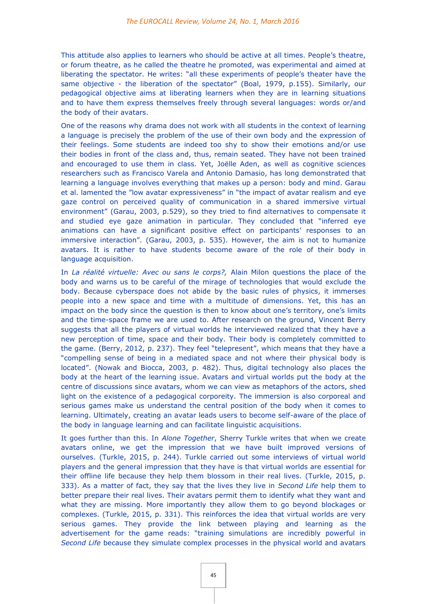This attitude also applies to learners who should be active at all times. People's theatre, or forum theatre, as he called the theatre he promoted, was experimental and aimed at liberating the spectator. He writes: "all these experiments of people's theater have the same objective - the liberation of the spectator" (Boal, 1979, p.155). Similarly, our pedagogical objective aims at liberating learners when they are in learning situations and to have them express themselves freely through several languages: words or/and the body of their avatars.

One of the reasons why drama does not work with all students in the context of learning a language is precisely the problem of the use of their own body and the expression of their feelings. Some students are indeed too shy to show their emotions and/or use their bodies in front of the class and, thus, remain seated. They have not been trained and encouraged to use them in class. Yet, Joëlle Aden, as well as cognitive sciences researchers such as Francisco Varela and Antonio Damasio, has long demonstrated that learning a language involves everything that makes up a person: body and mind. Garau et al. lamented the "low avatar expressiveness" in "the impact of avatar realism and eye gaze control on perceived quality of communication in a shared immersive virtual environment" (Garau, 2003, p.529), so they tried to find alternatives to compensate it and studied eye gaze animation in particular. They concluded that "inferred eye animations can have a significant positive effect on participants' responses to an immersive interaction". (Garau, 2003, p. 535). However, the aim is not to humanize avatars. It is rather to have students become aware of the role of their body in language acquisition.

In *La réalité virtuelle: Avec ou sans le corps?,* Alain Milon questions the place of the body and warns us to be careful of the mirage of technologies that would exclude the body. Because cyberspace does not abide by the basic rules of physics, it immerses people into a new space and time with a multitude of dimensions. Yet, this has an impact on the body since the question is then to know about one's territory, one's limits and the time-space frame we are used to. After research on the ground, Vincent Berry suggests that all the players of virtual worlds he interviewed realized that they have a new perception of time, space and their body. Their body is completely committed to the game. (Berry, 2012, p. 237). They feel "telepresent", which means that they have a "compelling sense of being in a mediated space and not where their physical body is located". (Nowak and Biocca, 2003, p. 482). Thus, digital technology also places the body at the heart of the learning issue. Avatars and virtual worlds put the body at the centre of discussions since avatars, whom we can view as metaphors of the actors, shed light on the existence of a pedagogical corporeity. The immersion is also corporeal and serious games make us understand the central position of the body when it comes to learning. Ultimately, creating an avatar leads users to become self-aware of the place of the body in language learning and can facilitate linguistic acquisitions.

It goes further than this. In *Alone Together*, Sherry Turkle writes that when we create avatars online, we get the impression that we have built improved versions of ourselves. (Turkle, 2015, p. 244). Turkle carried out some interviews of virtual world players and the general impression that they have is that virtual worlds are essential for their offline life because they help them blossom in their real lives. (Turkle, 2015, p. 333). As a matter of fact, they say that the lives they live in *Second Life* help them to better prepare their real lives. Their avatars permit them to identify what they want and what they are missing. More importantly they allow them to go beyond blockages or complexes. (Turkle, 2015, p. 331). This reinforces the idea that virtual worlds are very serious games. They provide the link between playing and learning as the advertisement for the game reads: "training simulations are incredibly powerful in *Second Life* because they simulate complex processes in the physical world and avatars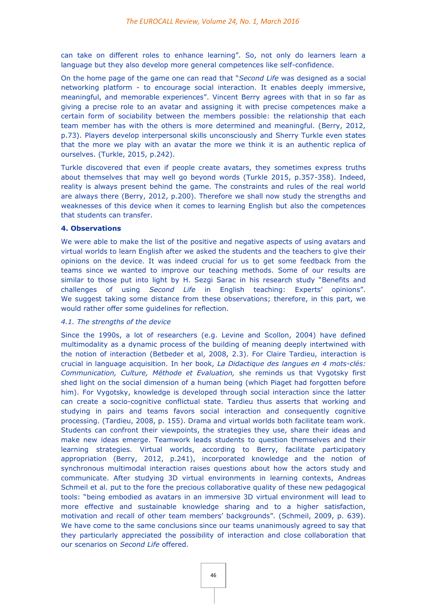can take on different roles to enhance learning". So, not only do learners learn a language but they also develop more general competences like self-confidence.

On the home page of the game one can read that "*Second Life* was designed as a social networking platform - to encourage social interaction. It enables deeply immersive, meaningful, and memorable experiences". Vincent Berry agrees with that in so far as giving a precise role to an avatar and assigning it with precise competences make a certain form of sociability between the members possible: the relationship that each team member has with the others is more determined and meaningful. (Berry, 2012, p.73). Players develop interpersonal skills unconsciously and Sherry Turkle even states that the more we play with an avatar the more we think it is an authentic replica of ourselves. (Turkle, 2015, p.242).

Turkle discovered that even if people create avatars, they sometimes express truths about themselves that may well go beyond words (Turkle 2015, p.357-358). Indeed, reality is always present behind the game. The constraints and rules of the real world are always there (Berry, 2012, p.200). Therefore we shall now study the strengths and weaknesses of this device when it comes to learning English but also the competences that students can transfer.

# **4. Observations**

We were able to make the list of the positive and negative aspects of using avatars and virtual worlds to learn English after we asked the students and the teachers to give their opinions on the device. It was indeed crucial for us to get some feedback from the teams since we wanted to improve our teaching methods. Some of our results are similar to those put into light by H. Sezgi Sarac in his research study "Benefits and challenges of using *Second Life* in English teaching: Experts' opinions". We suggest taking some distance from these observations; therefore, in this part, we would rather offer some guidelines for reflection.

# *4.1. The strengths of the device*

Since the 1990s, a lot of researchers (e.g. Levine and Scollon, 2004) have defined multimodality as a dynamic process of the building of meaning deeply intertwined with the notion of interaction (Betbeder et al, 2008, 2.3). For Claire Tardieu, interaction is crucial in language acquisition. In her book, *La Didactique des langues en 4 mots-clés: Communication, Culture, Méthode et Evaluation,* she reminds us that Vygotsky first shed light on the social dimension of a human being (which Piaget had forgotten before him). For Vygotsky, knowledge is developed through social interaction since the latter can create a socio-cognitive conflictual state. Tardieu thus asserts that working and studying in pairs and teams favors social interaction and consequently cognitive processing. (Tardieu, 2008, p. 155). Drama and virtual worlds both facilitate team work. Students can confront their viewpoints, the strategies they use, share their ideas and make new ideas emerge. Teamwork leads students to question themselves and their learning strategies. Virtual worlds, according to Berry, facilitate participatory appropriation (Berry, 2012, p.241), incorporated knowledge and the notion of synchronous multimodal interaction raises questions about how the actors study and communicate. After studying 3D virtual environments in learning contexts, Andreas Schmeil et al. put to the fore the precious collaborative quality of these new pedagogical tools: "being embodied as avatars in an immersive 3D virtual environment will lead to more effective and sustainable knowledge sharing and to a higher satisfaction, motivation and recall of other team members' backgrounds". (Schmeil, 2009, p. 639). We have come to the same conclusions since our teams unanimously agreed to say that they particularly appreciated the possibility of interaction and close collaboration that our scenarios on *Second Life* offered.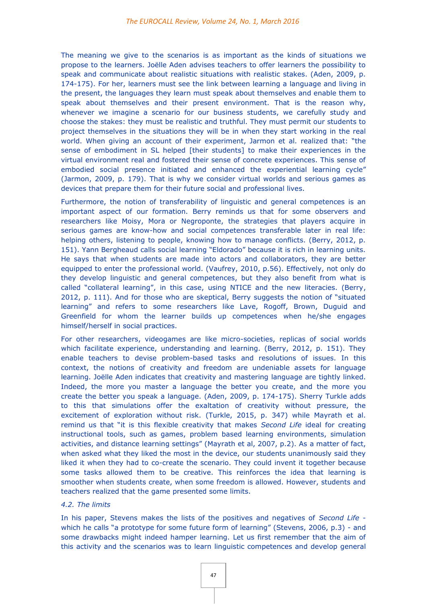The meaning we give to the scenarios is as important as the kinds of situations we propose to the learners. Joëlle Aden advises teachers to offer learners the possibility to speak and communicate about realistic situations with realistic stakes. (Aden, 2009, p. 174-175). For her, learners must see the link between learning a language and living in the present, the languages they learn must speak about themselves and enable them to speak about themselves and their present environment. That is the reason why, whenever we imagine a scenario for our business students, we carefully study and choose the stakes: they must be realistic and truthful. They must permit our students to project themselves in the situations they will be in when they start working in the real world. When giving an account of their experiment, Jarmon et al. realized that: "the sense of embodiment in SL helped [their students] to make their experiences in the virtual environment real and fostered their sense of concrete experiences. This sense of embodied social presence initiated and enhanced the experiential learning cycle" (Jarmon, 2009, p. 179). That is why we consider virtual worlds and serious games as devices that prepare them for their future social and professional lives.

Furthermore, the notion of transferability of linguistic and general competences is an important aspect of our formation. Berry reminds us that for some observers and researchers like Moisy, Mora or Negroponte, the strategies that players acquire in serious games are know-how and social competences transferable later in real life: helping others, listening to people, knowing how to manage conflicts. (Berry, 2012, p. 151). Yann Bergheaud calls social learning "Eldorado" because it is rich in learning units. He says that when students are made into actors and collaborators, they are better equipped to enter the professional world. (Vaufrey, 2010, p.56). Effectively, not only do they develop linguistic and general competences, but they also benefit from what is called "collateral learning", in this case, using NTICE and the new literacies. (Berry, 2012, p. 111). And for those who are skeptical, Berry suggests the notion of "situated learning" and refers to some researchers like Lave, Rogoff, Brown, Duguid and Greenfield for whom the learner builds up competences when he/she engages himself/herself in social practices.

For other researchers, videogames are like micro-societies, replicas of social worlds which facilitate experience, understanding and learning. (Berry, 2012, p. 151). They enable teachers to devise problem-based tasks and resolutions of issues. In this context, the notions of creativity and freedom are undeniable assets for language learning. Joëlle Aden indicates that creativity and mastering language are tightly linked. Indeed, the more you master a language the better you create, and the more you create the better you speak a language. (Aden, 2009, p. 174-175). Sherry Turkle adds to this that simulations offer the exaltation of creativity without pressure, the excitement of exploration without risk. (Turkle, 2015, p. 347) while Mayrath et al. remind us that "it is this flexible creativity that makes *Second Life* ideal for creating instructional tools, such as games, problem based learning environments, simulation activities, and distance learning settings" (Mayrath et al, 2007, p.2). As a matter of fact, when asked what they liked the most in the device, our students unanimously said they liked it when they had to co-create the scenario. They could invent it together because some tasks allowed them to be creative. This reinforces the idea that learning is smoother when students create, when some freedom is allowed. However, students and teachers realized that the game presented some limits.

# *4.2. The limits*

In his paper, Stevens makes the lists of the positives and negatives of *Second Life* which he calls "a prototype for some future form of learning" (Stevens, 2006, p.3) - and some drawbacks might indeed hamper learning. Let us first remember that the aim of this activity and the scenarios was to learn linguistic competences and develop general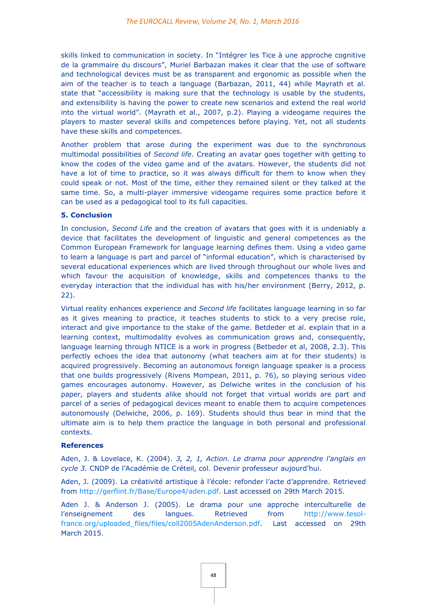skills linked to communication in society. In "Intégrer les Tice à une approche cognitive de la grammaire du discours", Muriel Barbazan makes it clear that the use of software and technological devices must be as transparent and ergonomic as possible when the aim of the teacher is to teach a language (Barbazan, 2011, 44) while Mayrath et al. state that "accessibility is making sure that the technology is usable by the students, and extensibility is having the power to create new scenarios and extend the real world into the virtual world". (Mayrath et al., 2007, p.2). Playing a videogame requires the players to master several skills and competences before playing. Yet, not all students have these skills and competences.

Another problem that arose during the experiment was due to the synchronous multimodal possibilities of *Second life*. Creating an avatar goes together with getting to know the codes of the video game and of the avatars. However, the students did not have a lot of time to practice, so it was always difficult for them to know when they could speak or not. Most of the time, either they remained silent or they talked at the same time. So, a multi-player immersive videogame requires some practice before it can be used as a pedagogical tool to its full capacities.

# **5. Conclusion**

In conclusion, *Second Life* and the creation of avatars that goes with it is undeniably a device that facilitates the development of linguistic and general competences as the Common European Framework for language learning defines them. Using a video game to learn a language is part and parcel of "informal education", which is characterised by several educational experiences which are lived through throughout our whole lives and which favour the acquisition of knowledge, skills and competences thanks to the everyday interaction that the individual has with his/her environment (Berry, 2012, p. 22).

Virtual reality enhances experience and *Second life* facilitates language learning in so far as it gives meaning to practice, it teaches students to stick to a very precise role, interact and give importance to the stake of the game. Betdeder et al. explain that in a learning context, multimodality evolves as communication grows and, consequently, language learning through NTICE is a work in progress (Betbeder et al, 2008, 2.3). This perfectly echoes the idea that autonomy (what teachers aim at for their students) is acquired progressively. Becoming an autonomous foreign language speaker is a process that one builds progressively (Rivens Mompean, 2011, p. 76), so playing serious video games encourages autonomy. However, as Delwiche writes in the conclusion of his paper, players and students alike should not forget that virtual worlds are part and parcel of a series of pedagogical devices meant to enable them to acquire competences autonomously (Delwiche, 2006, p. 169). Students should thus bear in mind that the ultimate aim is to help them practice the language in both personal and professional contexts.

# **References**

Aden, J. & Lovelace, K. (2004). *3, 2, 1, Action. Le drama pour apprendre l'anglais en cycle 3.* CNDP de l'Académie de Créteil, col. Devenir professeur aujourd'hui.

Aden, J. (2009). La créativité artistique à l'école: refonder l'acte d'apprendre. Retrieved from [http://gerflint.fr/Base/Europe4/aden.pdf.](http://gerflint.fr/Base/Europe4/aden.pdf) Last accessed on 29th March 2015.

Aden J. & Anderson J. (2005). Le drama pour une approche interculturelle de l'enseignement des langues. Retrieved from [http://www.tesol](http://www.tesol-france.org/uploaded_files/files/coll2005AdenAnderson.pdf)[france.org/uploaded\\_files/files/coll2005AdenAnderson.pdf.](http://www.tesol-france.org/uploaded_files/files/coll2005AdenAnderson.pdf) Last accessed on 29th March 2015.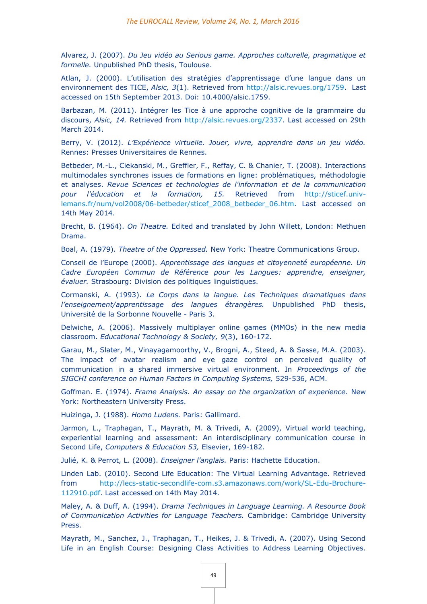Alvarez, J. (2007). *Du Jeu vidéo au Serious game. Approches culturelle, pragmatique et formelle.* Unpublished PhD thesis, Toulouse.

Atlan, J. (2000). L'utilisation des stratégies d'apprentissage d'une langue dans un environnement des TICE, *Alsic, 3*(1). Retrieved from [http://alsic.revues.org/1759.](http://alsic.revues.org/1759) Last accessed on 15th September 2013. Doi: 10.4000/alsic.1759.

Barbazan, M. (2011). Intégrer les Tice à une approche cognitive de la grammaire du discours, *Alsic, 14.* Retrieved from [http://alsic.revues.org/2337.](http://alsic.revues.org/2337) Last accessed on 29th March 2014.

Berry, V. (2012). *L'Expérience virtuelle. Jouer, vivre, apprendre dans un jeu vidéo.* Rennes: Presses Universitaires de Rennes.

Betbeder, M.-L., Ciekanski, M., Greffier, F., Reffay, C. & Chanier, T. (2008). Interactions multimodales synchrones issues de formations en ligne: problématiques, méthodologie et analyses. *Revue Sciences et technologies de l'information et de la communication pour l'éducation et la formation, 15.* Retrieved from [http://sticef.univ](http://sticef.univ-lemans.fr/num/vol2008/06-betbeder/sticef_2008_betbeder_06.htm)[lemans.fr/num/vol2008/06-betbeder/sticef\\_2008\\_betbeder\\_06.htm.](http://sticef.univ-lemans.fr/num/vol2008/06-betbeder/sticef_2008_betbeder_06.htm) Last accessed on 14th May 2014.

Brecht, B. (1964). *On Theatre.* Edited and translated by John Willett, London: Methuen Drama.

Boal, A. (1979). *Theatre of the Oppressed.* New York: Theatre Communications Group.

Conseil de l'Europe (2000). *Apprentissage des langues et citoyenneté européenne. Un Cadre Européen Commun de Référence pour les Langues: apprendre, enseigner, évaluer.* Strasbourg: Division des politiques linguistiques.

Cormanski, A. (1993). *Le Corps dans la langue. Les Techniques dramatiques dans l'enseignement/apprentissage des langues étrangères.* Unpublished PhD thesis, Université de la Sorbonne Nouvelle - Paris 3.

Delwiche, A. (2006). Massively multiplayer online games (MMOs) in the new media classroom. *Educational Technology & Society, 9*(3), 160-172.

Garau, M., Slater, M., Vinayagamoorthy, V., Brogni, A., Steed, A. & Sasse, M.A. (2003). The impact of avatar realism and eye gaze control on perceived quality of communication in a shared immersive virtual environment. In *Proceedings of the SIGCHI conference on Human Factors in Computing Systems,* 529-536, ACM.

Goffman. E. (1974). *Frame Analysis. An essay on the organization of experience.* New York: Northeastern University Press.

Huizinga, J. (1988). *Homo Ludens.* Paris: Gallimard.

Jarmon, L., Traphagan, T., Mayrath, M. & Trivedi, A. (2009), Virtual world teaching, experiential learning and assessment: An interdisciplinary communication course in Second Life, *Computers & Education 53,* Elsevier, 169-182.

Julié, K. & Perrot, L. (2008). *Enseigner l'anglais.* Paris: Hachette Education.

Linden Lab. (2010). Second Life Education: The Virtual Learning Advantage. Retrieved from [http://lecs-static-secondlife-com.s3.amazonaws.com/work/SL-Edu-Brochure-](http://lecs-static-secondlife-com.s3.amazonaws.com/work/SL-Edu-Brochure-112910.pdf)[112910.pdf.](http://lecs-static-secondlife-com.s3.amazonaws.com/work/SL-Edu-Brochure-112910.pdf) Last accessed on 14th May 2014.

Maley, A. & Duff, A. (1994). *Drama Techniques in Language Learning. A Resource Book of Communication Activities for Language Teachers.* Cambridge: Cambridge University Press.

Mayrath, M., Sanchez, J., Traphagan, T., Heikes, J. & Trivedi, A. (2007). Using Second Life in an English Course: Designing Class Activities to Address Learning Objectives.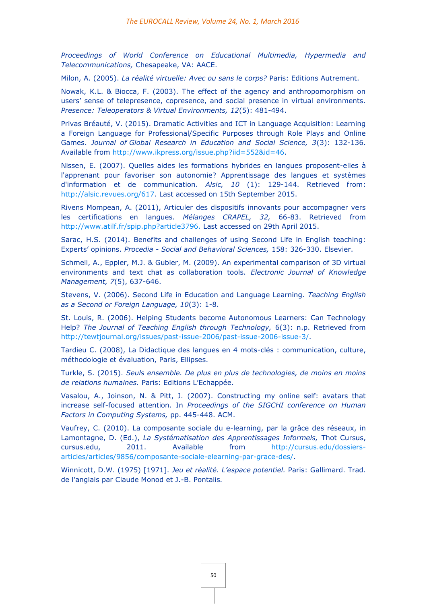*Proceedings of World Conference on Educational Multimedia, Hypermedia and Telecommunications,* Chesapeake, VA: AACE.

Milon, A. (2005). *La réalité virtuelle: Avec ou sans le corps?* Paris: Editions Autrement.

Nowak, K.L. & Biocca, F. (2003). The effect of the agency and anthropomorphism on users' sense of telepresence, copresence, and social presence in virtual environments. *Presence: Teleoperators & Virtual Environments, 12*(5): 481-494.

Privas Bréauté, V. (2015). Dramatic Activities and ICT in Language Acquisition: Learning a Foreign Language for Professional/Specific Purposes through Role Plays and Online Games. *Journal of Global Research in Education and Social Science, 3*(3): 132-136. Available from [http://www.ikpress.org/issue.php?iid=552&id=46.](http://www.ikpress.org/issue.php?iid=552&id=46)

Nissen, E. (2007). Quelles aides les formations hybrides en langues proposent-elles à l'apprenant pour favoriser son autonomie? Apprentissage des langues et systèmes d'information et de communication. *Alsic, 10* (1): 129-144. Retrieved from: [http://alsic.revues.org/617.](http://alsic.revues.org/617) Last accessed on 15th September 2015.

Rivens Mompean, A. (2011), Articuler des dispositifs innovants pour accompagner vers les certifications en langues. *Mélanges CRAPEL, 32,* 66-83. Retrieved from [http://www.atilf.fr/spip.php?article3796.](http://www.atilf.fr/spip.php?article3796) Last accessed on 29th April 2015.

Sarac, H.S. (2014). Benefits and challenges of using Second Life in English teaching: Experts' opinions. *Procedia - Social and Behavioral Sciences,* 158: 326-330. Elsevier.

Schmeil, A., Eppler, M.J. & Gubler, M. (2009). An experimental comparison of 3D virtual environments and text chat as collaboration tools. *Electronic Journal of Knowledge Management, 7*(5), 637-646.

Stevens, V. (2006). Second Life in Education and Language Learning. *Teaching English as a Second or Foreign Language, 10*(3): 1-8.

St. Louis, R. (2006). Helping Students become Autonomous Learners: Can Technology Help? *The Journal of Teaching English through Technology,* 6(3): n.p. Retrieved from [http://tewtjournal.org/issues/past-issue-2006/past-issue-2006-issue-3/.](http://tewtjournal.org/issues/past-issue-2006/past-issue-2006-issue-3/)

Tardieu C. (2008), La Didactique des langues en 4 mots-clés : communication, culture, méthodologie et évaluation, Paris, Ellipses.

Turkle, S. (2015). *Seuls ensemble. De plus en plus de technologies, de moins en moins de relations humaines.* Paris: Editions L'Echappée.

Vasalou, A., Joinson, N. & Pitt, J. (2007). Constructing my online self: avatars that increase self-focused attention. In *Proceedings of the SIGCHI conference on Human Factors in Computing Systems,* pp. 445-448. ACM.

Vaufrey, C. (2010). La composante sociale du e-learning, par la grâce des réseaux, in Lamontagne, D. (Ed.), *La Systématisation des Apprentissages Informels,* Thot Cursus, cursus.edu, 2011. Available from [http://cursus.edu/dossiers](http://cursus.edu/dossiers-articles/articles/9856/composante-sociale-elearning-par-grace-des/)[articles/articles/9856/composante-sociale-elearning-par-grace-des/.](http://cursus.edu/dossiers-articles/articles/9856/composante-sociale-elearning-par-grace-des/)

Winnicott, D.W. (1975) [1971]. *Jeu et réalité. L'espace potentiel.* Paris: Gallimard. Trad. de l'anglais par Claude Monod et J.-B. Pontalis*.*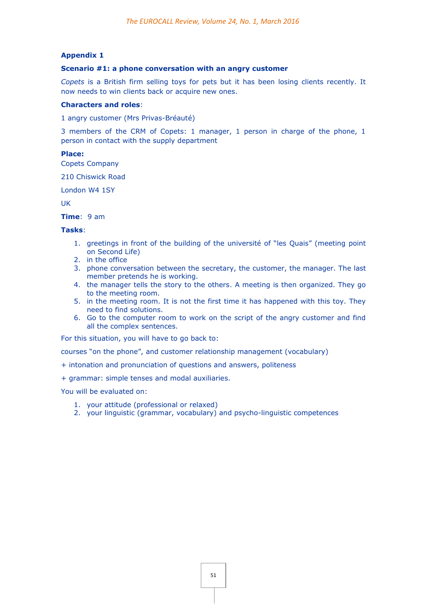# **Appendix 1**

## **Scenario #1: a phone conversation with an angry customer**

*Copets* is a British firm selling toys for pets but it has been losing clients recently. It now needs to win clients back or acquire new ones.

#### **Characters and roles**:

1 angry customer (Mrs Privas-Bréauté)

3 members of the CRM of Copets: 1 manager, 1 person in charge of the phone, 1 person in contact with the supply department

# **Place:**

Copets Company

210 Chiswick Road

London W4 1SY

UK

**Time**: 9 am

#### **Tasks**:

- 1. greetings in front of the building of the université of "les Quais" (meeting point on Second Life)
- 2. in the office
- 3. phone conversation between the secretary, the customer, the manager. The last member pretends he is working.
- 4. the manager tells the story to the others. A meeting is then organized. They go to the meeting room.
- 5. in the meeting room. It is not the first time it has happened with this toy. They need to find solutions.
- 6. Go to the computer room to work on the script of the angry customer and find all the complex sentences.

For this situation, you will have to go back to:

courses "on the phone", and customer relationship management (vocabulary)

- + intonation and pronunciation of questions and answers, politeness
- + grammar: simple tenses and modal auxiliaries.

You will be evaluated on:

- 1. your attitude (professional or relaxed)
- 2. your linguistic (grammar, vocabulary) and psycho-linguistic competences